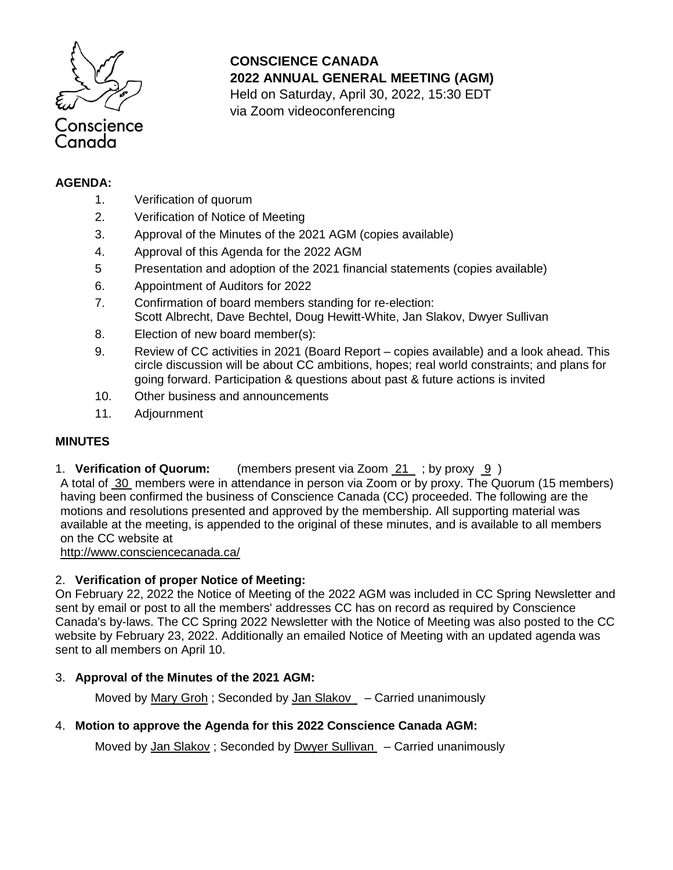

**CONSCIENCE CANADA 2022 ANNUAL GENERAL MEETING (AGM)**

Held on Saturday, April 30, 2022, 15:30 EDT via Zoom videoconferencing

### **AGENDA:**

- 1. Verification of quorum
- 2. Verification of Notice of Meeting
- 3. Approval of the Minutes of the 2021 AGM (copies available)
- 4. Approval of this Agenda for the 2022 AGM
- 5 Presentation and adoption of the 2021 financial statements (copies available)
- 6. Appointment of Auditors for 2022
- 7. Confirmation of board members standing for re-election: Scott Albrecht, Dave Bechtel, Doug Hewitt-White, Jan Slakov, Dwyer Sullivan
- 8. Election of new board member(s):
- 9. Review of CC activities in 2021 (Board Report copies available) and a look ahead. This circle discussion will be about CC ambitions, hopes; real world constraints; and plans for going forward. Participation & questions about past & future actions is invited
- 10. Other business and announcements
- 11. Adjournment

## **MINUTES**

1. **Verification of Quorum:** (members present via Zoom 21 ; by proxy 9 )

A total of 30 members were in attendance in person via Zoom or by proxy. The Quorum (15 members) having been confirmed the business of Conscience Canada (CC) proceeded. The following are the motions and resolutions presented and approved by the membership. All supporting material was available at the meeting, is appended to the original of these minutes, and is available to all members on the CC website at

<http://www.consciencecanada.ca/>

### 2. **Verification of proper Notice of Meeting:**

On February 22, 2022 the Notice of Meeting of the 2022 AGM was included in CC Spring Newsletter and sent by email or post to all the members' addresses CC has on record as required by Conscience Canada's by-laws. The CC Spring 2022 Newsletter with the Notice of Meeting was also posted to the CC website by February 23, 2022. Additionally an emailed Notice of Meeting with an updated agenda was sent to all members on April 10.

## 3. **Approval of the Minutes of the 2021 AGM:**

Moved by Mary Groh ; Seconded by Jan Slakov – Carried unanimously

## 4. **Motion to approve the Agenda for this 2022 Conscience Canada AGM:**

Moved by Jan Slakov; Seconded by Dwyer Sullivan – Carried unanimously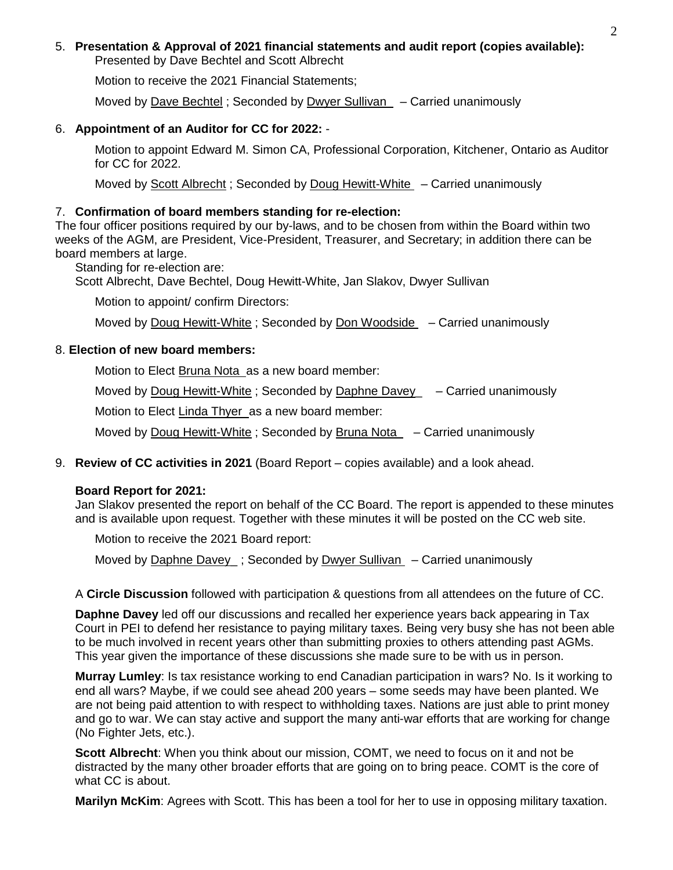#### 5. **Presentation & Approval of 2021 financial statements and audit report (copies available):** Presented by Dave Bechtel and Scott Albrecht

Motion to receive the 2021 Financial Statements;

Moved by Dave Bechtel ; Seconded by Dwyer Sullivan – Carried unanimously

## 6. **Appointment of an Auditor for CC for 2022:** -

Motion to appoint Edward M. Simon CA, Professional Corporation, Kitchener, Ontario as Auditor for CC for 2022.

Moved by Scott Albrecht ; Seconded by Doug Hewitt-White – Carried unanimously

## 7. **Confirmation of board members standing for re-election:**

The four officer positions required by our by-laws, and to be chosen from within the Board within two weeks of the AGM, are President, Vice-President, Treasurer, and Secretary; in addition there can be board members at large.

Standing for re-election are:

Scott Albrecht, Dave Bechtel, Doug Hewitt-White, Jan Slakov, Dwyer Sullivan

Motion to appoint/ confirm Directors:

Moved by Doug Hewitt-White ; Seconded by Don Woodside – Carried unanimously

### 8. **Election of new board members:**

Motion to Elect Bruna Nota as a new board member:

Moved by Doug Hewitt-White ; Seconded by Daphne Davey\_ – Carried unanimously

Motion to Elect Linda Thyer as a new board member:

Moved by Doug Hewitt-White; Seconded by Bruna Nota  $-$  Carried unanimously

9. **Review of CC activities in 2021** (Board Report – copies available) and a look ahead.

### **Board Report for 2021:**

Jan Slakov presented the report on behalf of the CC Board. The report is appended to these minutes and is available upon request. Together with these minutes it will be posted on the CC web site.

Motion to receive the 2021 Board report:

Moved by Daphne Davey\_; Seconded by Dwyer Sullivan – Carried unanimously

A **Circle Discussion** followed with participation & questions from all attendees on the future of CC.

**Daphne Davey** led off our discussions and recalled her experience years back appearing in Tax Court in PEI to defend her resistance to paying military taxes. Being very busy she has not been able to be much involved in recent years other than submitting proxies to others attending past AGMs. This year given the importance of these discussions she made sure to be with us in person.

**Murray Lumley**: Is tax resistance working to end Canadian participation in wars? No. Is it working to end all wars? Maybe, if we could see ahead 200 years – some seeds may have been planted. We are not being paid attention to with respect to withholding taxes. Nations are just able to print money and go to war. We can stay active and support the many anti-war efforts that are working for change (No Fighter Jets, etc.).

**Scott Albrecht**: When you think about our mission, COMT, we need to focus on it and not be distracted by the many other broader efforts that are going on to bring peace. COMT is the core of what CC is about.

**Marilyn McKim**: Agrees with Scott. This has been a tool for her to use in opposing military taxation.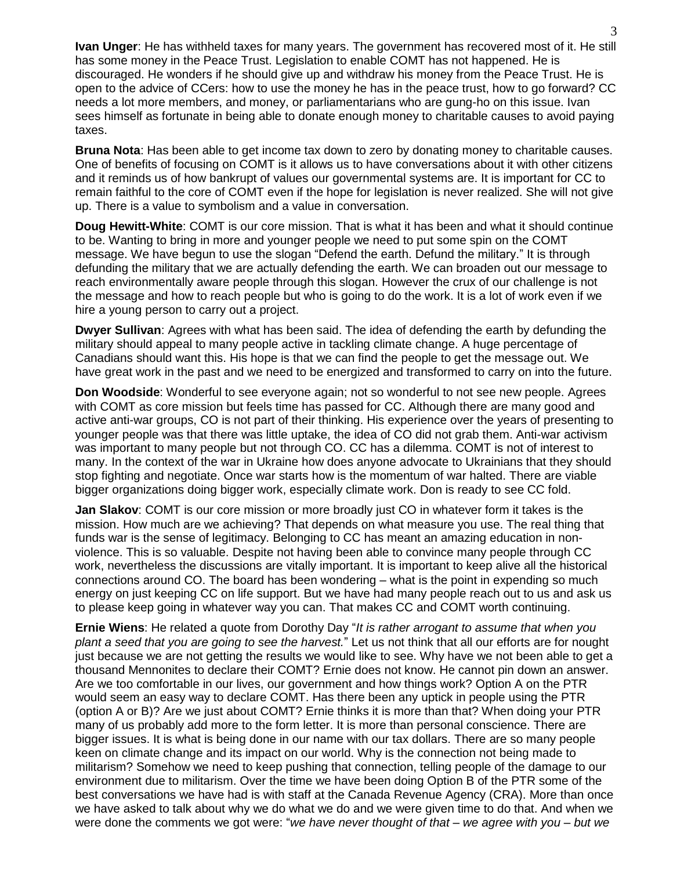**Ivan Unger**: He has withheld taxes for many years. The government has recovered most of it. He still has some money in the Peace Trust. Legislation to enable COMT has not happened. He is discouraged. He wonders if he should give up and withdraw his money from the Peace Trust. He is open to the advice of CCers: how to use the money he has in the peace trust, how to go forward? CC needs a lot more members, and money, or parliamentarians who are gung-ho on this issue. Ivan sees himself as fortunate in being able to donate enough money to charitable causes to avoid paying taxes.

**Bruna Nota**: Has been able to get income tax down to zero by donating money to charitable causes. One of benefits of focusing on COMT is it allows us to have conversations about it with other citizens and it reminds us of how bankrupt of values our governmental systems are. It is important for CC to remain faithful to the core of COMT even if the hope for legislation is never realized. She will not give up. There is a value to symbolism and a value in conversation.

**Doug Hewitt-White**: COMT is our core mission. That is what it has been and what it should continue to be. Wanting to bring in more and younger people we need to put some spin on the COMT message. We have begun to use the slogan "Defend the earth. Defund the military." It is through defunding the military that we are actually defending the earth. We can broaden out our message to reach environmentally aware people through this slogan. However the crux of our challenge is not the message and how to reach people but who is going to do the work. It is a lot of work even if we hire a young person to carry out a project.

**Dwyer Sullivan**: Agrees with what has been said. The idea of defending the earth by defunding the military should appeal to many people active in tackling climate change. A huge percentage of Canadians should want this. His hope is that we can find the people to get the message out. We have great work in the past and we need to be energized and transformed to carry on into the future.

**Don Woodside**: Wonderful to see everyone again; not so wonderful to not see new people. Agrees with COMT as core mission but feels time has passed for CC. Although there are many good and active anti-war groups, CO is not part of their thinking. His experience over the years of presenting to younger people was that there was little uptake, the idea of CO did not grab them. Anti-war activism was important to many people but not through CO. CC has a dilemma. COMT is not of interest to many. In the context of the war in Ukraine how does anyone advocate to Ukrainians that they should stop fighting and negotiate. Once war starts how is the momentum of war halted. There are viable bigger organizations doing bigger work, especially climate work. Don is ready to see CC fold.

**Jan Slakov**: COMT is our core mission or more broadly just CO in whatever form it takes is the mission. How much are we achieving? That depends on what measure you use. The real thing that funds war is the sense of legitimacy. Belonging to CC has meant an amazing education in nonviolence. This is so valuable. Despite not having been able to convince many people through CC work, nevertheless the discussions are vitally important. It is important to keep alive all the historical connections around CO. The board has been wondering – what is the point in expending so much energy on just keeping CC on life support. But we have had many people reach out to us and ask us to please keep going in whatever way you can. That makes CC and COMT worth continuing.

**Ernie Wiens**: He related a quote from Dorothy Day "*It is rather arrogant to assume that when you plant a seed that you are going to see the harvest.*" Let us not think that all our efforts are for nought just because we are not getting the results we would like to see. Why have we not been able to get a thousand Mennonites to declare their COMT? Ernie does not know. He cannot pin down an answer. Are we too comfortable in our lives, our government and how things work? Option A on the PTR would seem an easy way to declare COMT. Has there been any uptick in people using the PTR (option A or B)? Are we just about COMT? Ernie thinks it is more than that? When doing your PTR many of us probably add more to the form letter. It is more than personal conscience. There are bigger issues. It is what is being done in our name with our tax dollars. There are so many people keen on climate change and its impact on our world. Why is the connection not being made to militarism? Somehow we need to keep pushing that connection, telling people of the damage to our environment due to militarism. Over the time we have been doing Option B of the PTR some of the best conversations we have had is with staff at the Canada Revenue Agency (CRA). More than once we have asked to talk about why we do what we do and we were given time to do that. And when we were done the comments we got were: "*we have never thought of that – we agree with you – but we*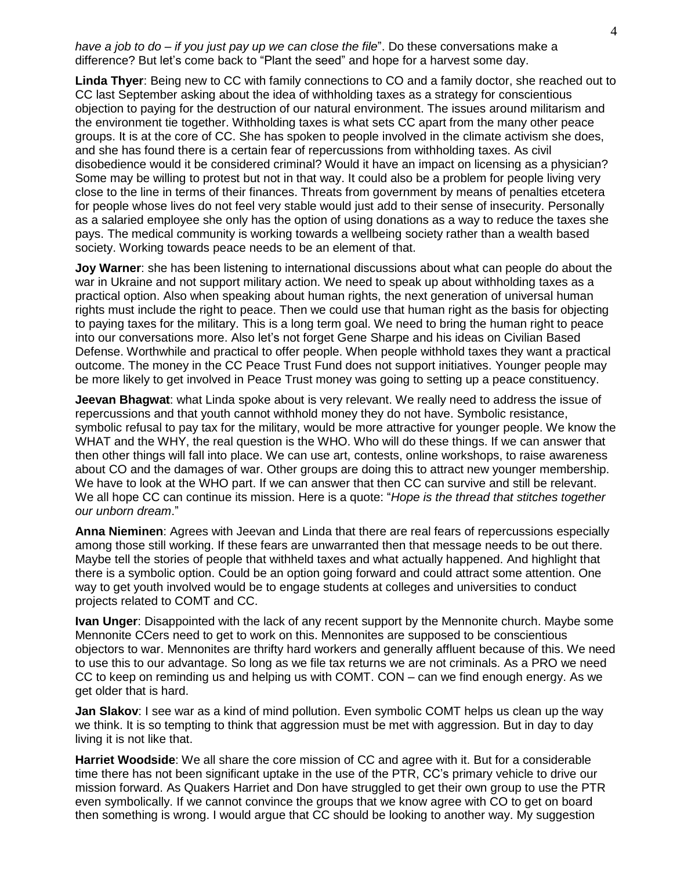*have a job to do – if you just pay up we can close the file*". Do these conversations make a difference? But let's come back to "Plant the seed" and hope for a harvest some day.

**Linda Thyer**: Being new to CC with family connections to CO and a family doctor, she reached out to CC last September asking about the idea of withholding taxes as a strategy for conscientious objection to paying for the destruction of our natural environment. The issues around militarism and the environment tie together. Withholding taxes is what sets CC apart from the many other peace groups. It is at the core of CC. She has spoken to people involved in the climate activism she does, and she has found there is a certain fear of repercussions from withholding taxes. As civil disobedience would it be considered criminal? Would it have an impact on licensing as a physician? Some may be willing to protest but not in that way. It could also be a problem for people living very close to the line in terms of their finances. Threats from government by means of penalties etcetera for people whose lives do not feel very stable would just add to their sense of insecurity. Personally as a salaried employee she only has the option of using donations as a way to reduce the taxes she pays. The medical community is working towards a wellbeing society rather than a wealth based society. Working towards peace needs to be an element of that.

**Joy Warner**: she has been listening to international discussions about what can people do about the war in Ukraine and not support military action. We need to speak up about withholding taxes as a practical option. Also when speaking about human rights, the next generation of universal human rights must include the right to peace. Then we could use that human right as the basis for objecting to paying taxes for the military. This is a long term goal. We need to bring the human right to peace into our conversations more. Also let's not forget Gene Sharpe and his ideas on Civilian Based Defense. Worthwhile and practical to offer people. When people withhold taxes they want a practical outcome. The money in the CC Peace Trust Fund does not support initiatives. Younger people may be more likely to get involved in Peace Trust money was going to setting up a peace constituency.

**Jeevan Bhagwat**: what Linda spoke about is very relevant. We really need to address the issue of repercussions and that youth cannot withhold money they do not have. Symbolic resistance, symbolic refusal to pay tax for the military, would be more attractive for younger people. We know the WHAT and the WHY, the real question is the WHO. Who will do these things. If we can answer that then other things will fall into place. We can use art, contests, online workshops, to raise awareness about CO and the damages of war. Other groups are doing this to attract new younger membership. We have to look at the WHO part. If we can answer that then CC can survive and still be relevant. We all hope CC can continue its mission. Here is a quote: "*Hope is the thread that stitches together our unborn dream*."

**Anna Nieminen**: Agrees with Jeevan and Linda that there are real fears of repercussions especially among those still working. If these fears are unwarranted then that message needs to be out there. Maybe tell the stories of people that withheld taxes and what actually happened. And highlight that there is a symbolic option. Could be an option going forward and could attract some attention. One way to get youth involved would be to engage students at colleges and universities to conduct projects related to COMT and CC.

**Ivan Unger**: Disappointed with the lack of any recent support by the Mennonite church. Maybe some Mennonite CCers need to get to work on this. Mennonites are supposed to be conscientious objectors to war. Mennonites are thrifty hard workers and generally affluent because of this. We need to use this to our advantage. So long as we file tax returns we are not criminals. As a PRO we need CC to keep on reminding us and helping us with COMT. CON – can we find enough energy. As we get older that is hard.

**Jan Slakov**: I see war as a kind of mind pollution. Even symbolic COMT helps us clean up the way we think. It is so tempting to think that aggression must be met with aggression. But in day to day living it is not like that.

**Harriet Woodside**: We all share the core mission of CC and agree with it. But for a considerable time there has not been significant uptake in the use of the PTR, CC's primary vehicle to drive our mission forward. As Quakers Harriet and Don have struggled to get their own group to use the PTR even symbolically. If we cannot convince the groups that we know agree with CO to get on board then something is wrong. I would argue that CC should be looking to another way. My suggestion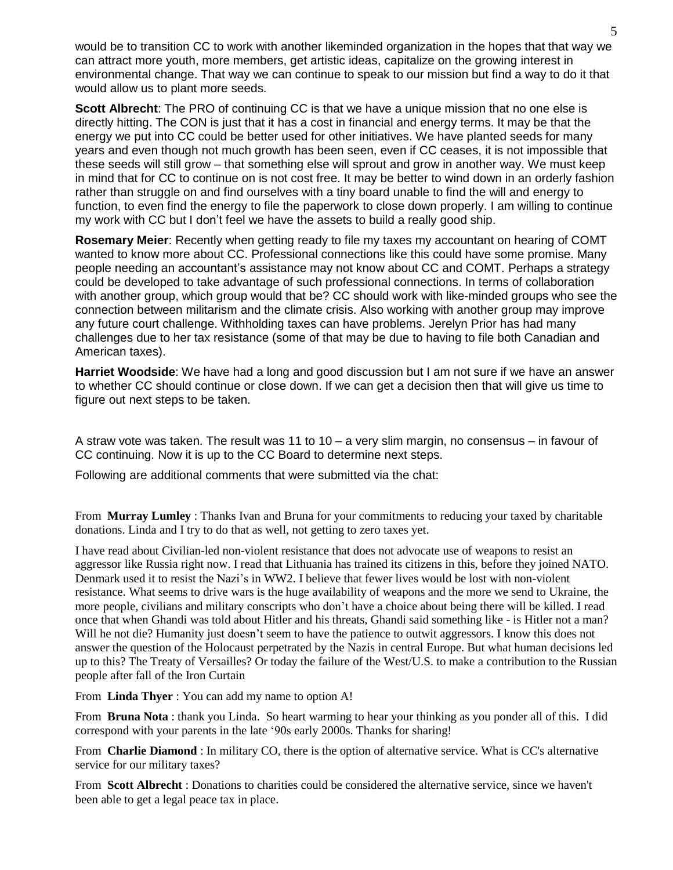would be to transition CC to work with another likeminded organization in the hopes that that way we can attract more youth, more members, get artistic ideas, capitalize on the growing interest in environmental change. That way we can continue to speak to our mission but find a way to do it that would allow us to plant more seeds.

**Scott Albrecht**: The PRO of continuing CC is that we have a unique mission that no one else is directly hitting. The CON is just that it has a cost in financial and energy terms. It may be that the energy we put into CC could be better used for other initiatives. We have planted seeds for many years and even though not much growth has been seen, even if CC ceases, it is not impossible that these seeds will still grow – that something else will sprout and grow in another way. We must keep in mind that for CC to continue on is not cost free. It may be better to wind down in an orderly fashion rather than struggle on and find ourselves with a tiny board unable to find the will and energy to function, to even find the energy to file the paperwork to close down properly. I am willing to continue my work with CC but I don't feel we have the assets to build a really good ship.

**Rosemary Meier**: Recently when getting ready to file my taxes my accountant on hearing of COMT wanted to know more about CC. Professional connections like this could have some promise. Many people needing an accountant's assistance may not know about CC and COMT. Perhaps a strategy could be developed to take advantage of such professional connections. In terms of collaboration with another group, which group would that be? CC should work with like-minded groups who see the connection between militarism and the climate crisis. Also working with another group may improve any future court challenge. Withholding taxes can have problems. Jerelyn Prior has had many challenges due to her tax resistance (some of that may be due to having to file both Canadian and American taxes).

**Harriet Woodside**: We have had a long and good discussion but I am not sure if we have an answer to whether CC should continue or close down. If we can get a decision then that will give us time to figure out next steps to be taken.

A straw vote was taken. The result was 11 to 10 – a very slim margin, no consensus – in favour of CC continuing. Now it is up to the CC Board to determine next steps.

Following are additional comments that were submitted via the chat:

From **Murray Lumley** : Thanks Ivan and Bruna for your commitments to reducing your taxed by charitable donations. Linda and I try to do that as well, not getting to zero taxes yet.

I have read about Civilian-led non-violent resistance that does not advocate use of weapons to resist an aggressor like Russia right now. I read that Lithuania has trained its citizens in this, before they joined NATO. Denmark used it to resist the Nazi's in WW2. I believe that fewer lives would be lost with non-violent resistance. What seems to drive wars is the huge availability of weapons and the more we send to Ukraine, the more people, civilians and military conscripts who don't have a choice about being there will be killed. I read once that when Ghandi was told about Hitler and his threats, Ghandi said something like - is Hitler not a man? Will he not die? Humanity just doesn't seem to have the patience to outwit aggressors. I know this does not answer the question of the Holocaust perpetrated by the Nazis in central Europe. But what human decisions led up to this? The Treaty of Versailles? Or today the failure of the West/U.S. to make a contribution to the Russian people after fall of the Iron Curtain

From **Linda Thyer** : You can add my name to option A!

From **Bruna Nota** : thank you Linda. So heart warming to hear your thinking as you ponder all of this. I did correspond with your parents in the late '90s early 2000s. Thanks for sharing!

From **Charlie Diamond** : In military CO, there is the option of alternative service. What is CC's alternative service for our military taxes?

From **Scott Albrecht** : Donations to charities could be considered the alternative service, since we haven't been able to get a legal peace tax in place.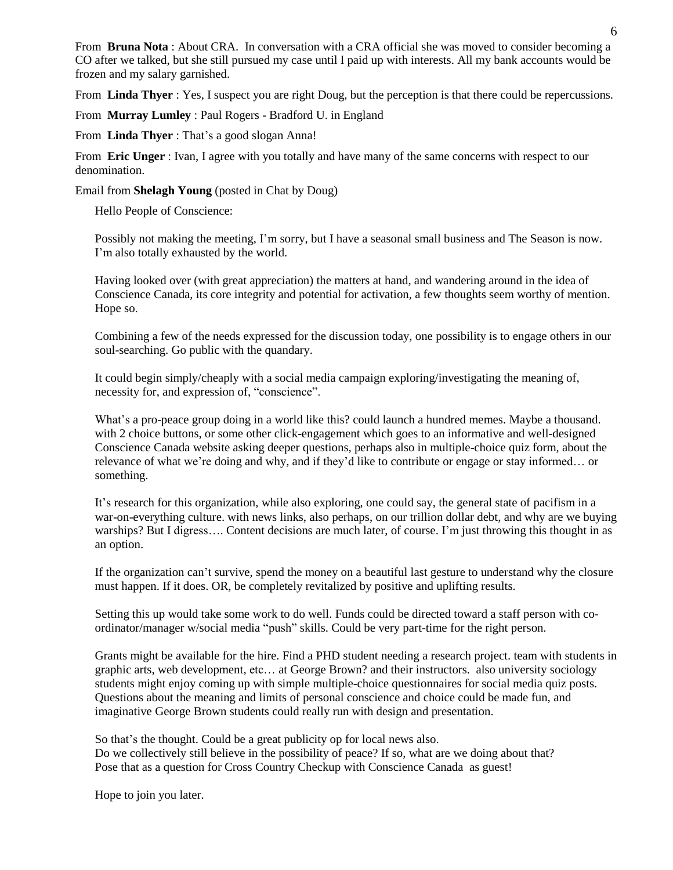From **Bruna Nota** : About CRA. In conversation with a CRA official she was moved to consider becoming a CO after we talked, but she still pursued my case until I paid up with interests. All my bank accounts would be frozen and my salary garnished.

From **Linda Thyer** : Yes, I suspect you are right Doug, but the perception is that there could be repercussions.

From **Murray Lumley** : Paul Rogers - Bradford U. in England

From **Linda Thyer** : That's a good slogan Anna!

From **Eric Unger** : Ivan, I agree with you totally and have many of the same concerns with respect to our denomination.

Email from **Shelagh Young** (posted in Chat by Doug)

Hello People of Conscience:

Possibly not making the meeting, I'm sorry, but I have a seasonal small business and The Season is now. I'm also totally exhausted by the world.

Having looked over (with great appreciation) the matters at hand, and wandering around in the idea of Conscience Canada, its core integrity and potential for activation, a few thoughts seem worthy of mention. Hope so.

Combining a few of the needs expressed for the discussion today, one possibility is to engage others in our soul-searching. Go public with the quandary.

It could begin simply/cheaply with a social media campaign exploring/investigating the meaning of, necessity for, and expression of, "conscience".

What's a pro-peace group doing in a world like this? could launch a hundred memes. Maybe a thousand. with 2 choice buttons, or some other click-engagement which goes to an informative and well-designed Conscience Canada website asking deeper questions, perhaps also in multiple-choice quiz form, about the relevance of what we're doing and why, and if they'd like to contribute or engage or stay informed… or something.

It's research for this organization, while also exploring, one could say, the general state of pacifism in a war-on-everything culture. with news links, also perhaps, on our trillion dollar debt, and why are we buying warships? But I digress…. Content decisions are much later, of course. I'm just throwing this thought in as an option.

If the organization can't survive, spend the money on a beautiful last gesture to understand why the closure must happen. If it does. OR, be completely revitalized by positive and uplifting results.

Setting this up would take some work to do well. Funds could be directed toward a staff person with coordinator/manager w/social media "push" skills. Could be very part-time for the right person.

Grants might be available for the hire. Find a PHD student needing a research project. team with students in graphic arts, web development, etc… at George Brown? and their instructors. also university sociology students might enjoy coming up with simple multiple-choice questionnaires for social media quiz posts. Questions about the meaning and limits of personal conscience and choice could be made fun, and imaginative George Brown students could really run with design and presentation.

So that's the thought. Could be a great publicity op for local news also. Do we collectively still believe in the possibility of peace? If so, what are we doing about that? Pose that as a question for Cross Country Checkup with Conscience Canada as guest!

Hope to join you later.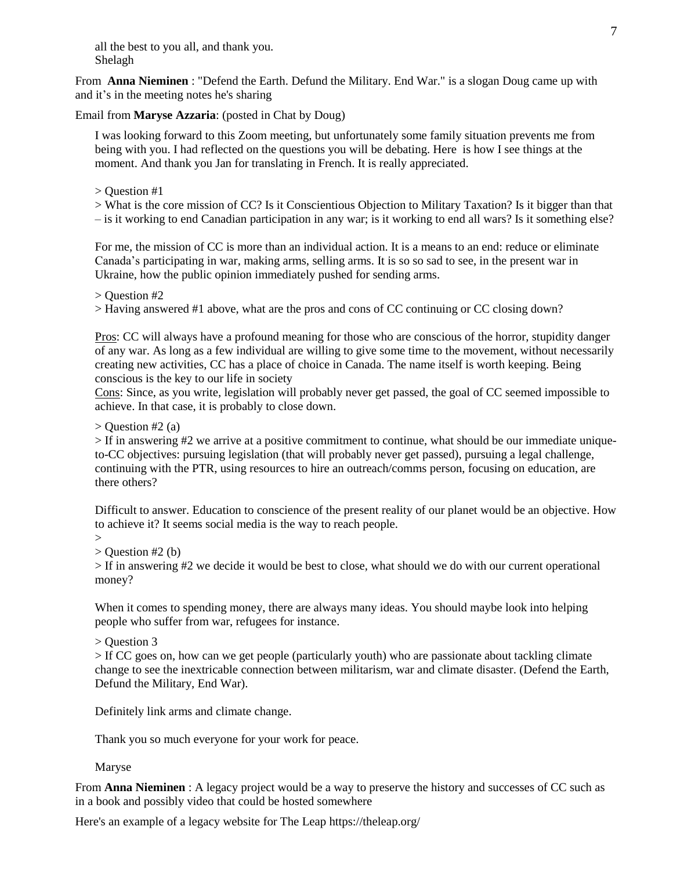all the best to you all, and thank you. Shelagh

From **Anna Nieminen** : "Defend the Earth. Defund the Military. End War." is a slogan Doug came up with and it's in the meeting notes he's sharing

Email from **Maryse Azzaria**: (posted in Chat by Doug)

I was looking forward to this Zoom meeting, but unfortunately some family situation prevents me from being with you. I had reflected on the questions you will be debating. Here is how I see things at the moment. And thank you Jan for translating in French. It is really appreciated.

> Question #1

> What is the core mission of CC? Is it Conscientious Objection to Military Taxation? Is it bigger than that

– is it working to end Canadian participation in any war; is it working to end all wars? Is it something else?

For me, the mission of CC is more than an individual action. It is a means to an end: reduce or eliminate Canada's participating in war, making arms, selling arms. It is so so sad to see, in the present war in Ukraine, how the public opinion immediately pushed for sending arms.

> Question #2

> Having answered #1 above, what are the pros and cons of CC continuing or CC closing down?

Pros: CC will always have a profound meaning for those who are conscious of the horror, stupidity danger of any war. As long as a few individual are willing to give some time to the movement, without necessarily creating new activities, CC has a place of choice in Canada. The name itself is worth keeping. Being conscious is the key to our life in society

Cons: Since, as you write, legislation will probably never get passed, the goal of CC seemed impossible to achieve. In that case, it is probably to close down.

 $>$  Question #2 (a)

> If in answering #2 we arrive at a positive commitment to continue, what should be our immediate uniqueto-CC objectives: pursuing legislation (that will probably never get passed), pursuing a legal challenge, continuing with the PTR, using resources to hire an outreach/comms person, focusing on education, are there others?

Difficult to answer. Education to conscience of the present reality of our planet would be an objective. How to achieve it? It seems social media is the way to reach people.

 $>$ 

 $>$  Question #2 (b)

> If in answering #2 we decide it would be best to close, what should we do with our current operational money?

When it comes to spending money, there are always many ideas. You should maybe look into helping people who suffer from war, refugees for instance.

> Question 3

> If CC goes on, how can we get people (particularly youth) who are passionate about tackling climate change to see the inextricable connection between militarism, war and climate disaster. (Defend the Earth, Defund the Military, End War).

Definitely link arms and climate change.

Thank you so much everyone for your work for peace.

Maryse

From **Anna Nieminen** : A legacy project would be a way to preserve the history and successes of CC such as in a book and possibly video that could be hosted somewhere

Here's an example of a legacy website for The Leap https://theleap.org/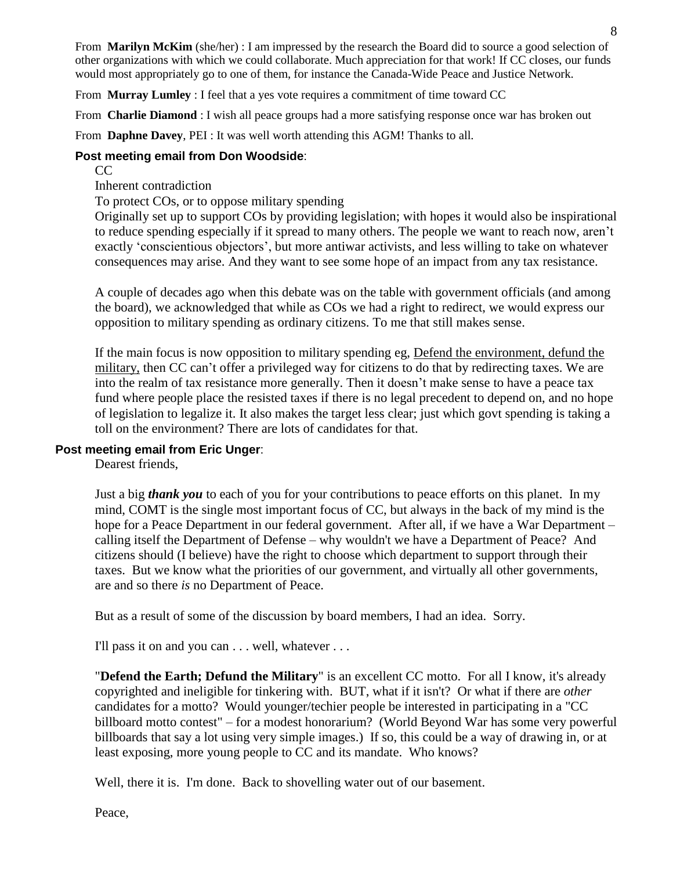From **Marilyn McKim** (she/her) : I am impressed by the research the Board did to source a good selection of other organizations with which we could collaborate. Much appreciation for that work! If CC closes, our funds would most appropriately go to one of them, for instance the Canada-Wide Peace and Justice Network.

From **Murray Lumley** : I feel that a yes vote requires a commitment of time toward CC

From **Charlie Diamond** : I wish all peace groups had a more satisfying response once war has broken out

From **Daphne Davey**, PEI : It was well worth attending this AGM! Thanks to all.

## **Post meeting email from Don Woodside**:

CC

Inherent contradiction

To protect COs, or to oppose military spending

Originally set up to support COs by providing legislation; with hopes it would also be inspirational to reduce spending especially if it spread to many others. The people we want to reach now, aren't exactly 'conscientious objectors', but more antiwar activists, and less willing to take on whatever consequences may arise. And they want to see some hope of an impact from any tax resistance.

A couple of decades ago when this debate was on the table with government officials (and among the board), we acknowledged that while as COs we had a right to redirect, we would express our opposition to military spending as ordinary citizens. To me that still makes sense.

If the main focus is now opposition to military spending eg, Defend the environment, defund the military, then CC can't offer a privileged way for citizens to do that by redirecting taxes. We are into the realm of tax resistance more generally. Then it doesn't make sense to have a peace tax fund where people place the resisted taxes if there is no legal precedent to depend on, and no hope of legislation to legalize it. It also makes the target less clear; just which govt spending is taking a toll on the environment? There are lots of candidates for that.

## **Post meeting email from Eric Unger**:

Dearest friends,

Just a big *thank you* to each of you for your contributions to peace efforts on this planet. In my mind, COMT is the single most important focus of CC, but always in the back of my mind is the hope for a Peace Department in our federal government. After all, if we have a War Department – calling itself the Department of Defense – why wouldn't we have a Department of Peace? And citizens should (I believe) have the right to choose which department to support through their taxes. But we know what the priorities of our government, and virtually all other governments, are and so there *is* no Department of Peace.

But as a result of some of the discussion by board members, I had an idea. Sorry.

I'll pass it on and you can . . . well, whatever . . .

"**Defend the Earth; Defund the Military**" is an excellent CC motto. For all I know, it's already copyrighted and ineligible for tinkering with. BUT, what if it isn't? Or what if there are *other* candidates for a motto? Would younger/techier people be interested in participating in a "CC billboard motto contest" – for a modest honorarium? (World Beyond War has some very powerful billboards that say a lot using very simple images.) If so, this could be a way of drawing in, or at least exposing, more young people to CC and its mandate. Who knows?

Well, there it is. I'm done. Back to shovelling water out of our basement.

Peace,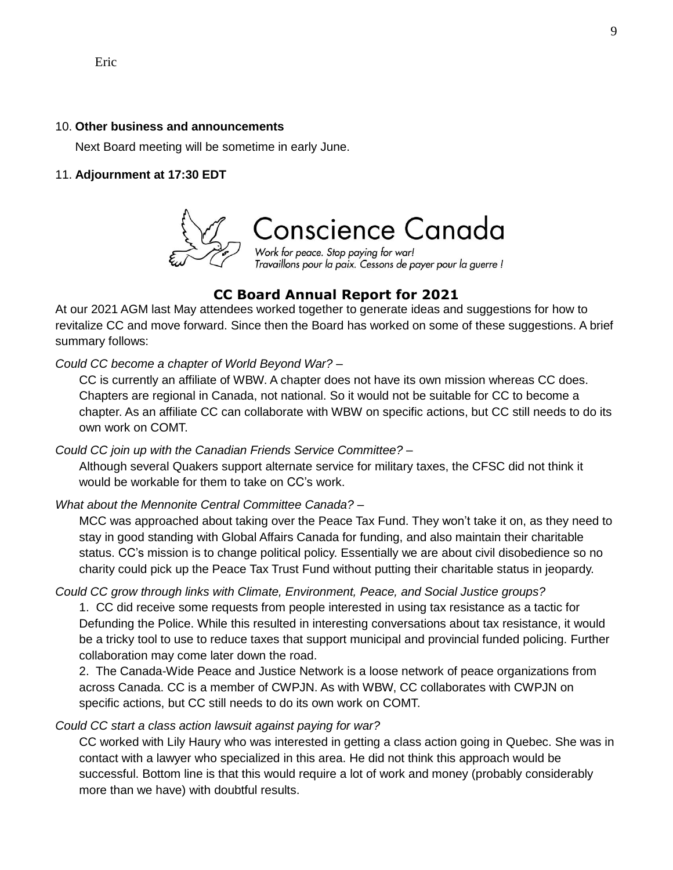#### 10. **Other business and announcements**

Next Board meeting will be sometime in early June.

#### 11. **Adjournment at 17:30 EDT**



# **CC Board Annual Report for 2021**

At our 2021 AGM last May attendees worked together to generate ideas and suggestions for how to revitalize CC and move forward. Since then the Board has worked on some of these suggestions. A brief summary follows:

### *Could CC become a chapter of World Beyond War? –*

CC is currently an affiliate of WBW. A chapter does not have its own mission whereas CC does. Chapters are regional in Canada, not national. So it would not be suitable for CC to become a chapter. As an affiliate CC can collaborate with WBW on specific actions, but CC still needs to do its own work on COMT.

*Could CC join up with the Canadian Friends Service Committee?* –

Although several Quakers support alternate service for military taxes, the CFSC did not think it would be workable for them to take on CC's work.

*What about the Mennonite Central Committee Canada? –*

MCC was approached about taking over the Peace Tax Fund. They won't take it on, as they need to stay in good standing with Global Affairs Canada for funding, and also maintain their charitable status. CC's mission is to change political policy. Essentially we are about civil disobedience so no charity could pick up the Peace Tax Trust Fund without putting their charitable status in jeopardy.

### *Could CC grow through links with Climate, Environment, Peace, and Social Justice groups?*

1. CC did receive some requests from people interested in using tax resistance as a tactic for Defunding the Police. While this resulted in interesting conversations about tax resistance, it would be a tricky tool to use to reduce taxes that support municipal and provincial funded policing. Further collaboration may come later down the road.

2. The Canada-Wide Peace and Justice Network is a loose network of peace organizations from across Canada. CC is a member of CWPJN. As with WBW, CC collaborates with CWPJN on specific actions, but CC still needs to do its own work on COMT.

### *Could CC start a class action lawsuit against paying for war?*

CC worked with Lily Haury who was interested in getting a class action going in Quebec. She was in contact with a lawyer who specialized in this area. He did not think this approach would be successful. Bottom line is that this would require a lot of work and money (probably considerably more than we have) with doubtful results.